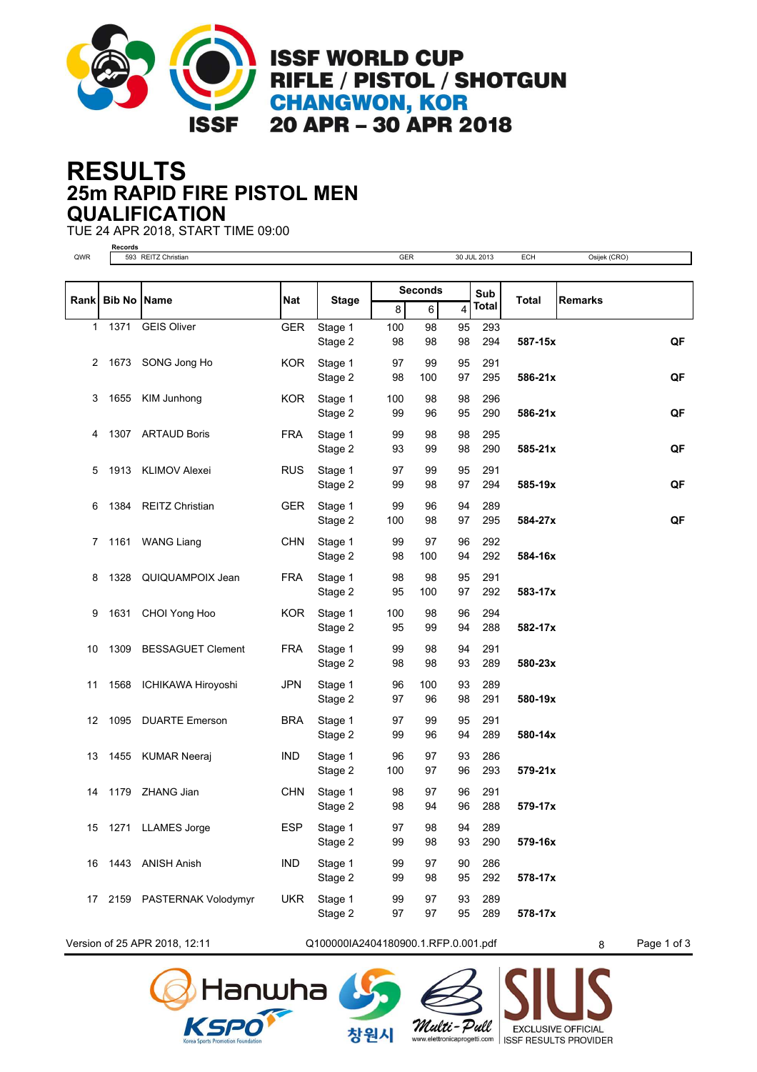

**ISSF WORLD CUP** RIFLE / PISTOL / SHOTGUN **CHANGWON, KOR** 20 APR - 30 APR 2018

## **25m RAPID FIRE PISTOL MEN RESULTS QUALIFICATION**

TUE 24 APR 2018, START TIME 09:00



Version of 25 APR 2018, 12:11 Q100000IA2404180900.1.RFP.0.001.pdf 8 Page 1 of 3

창원시

lanwha

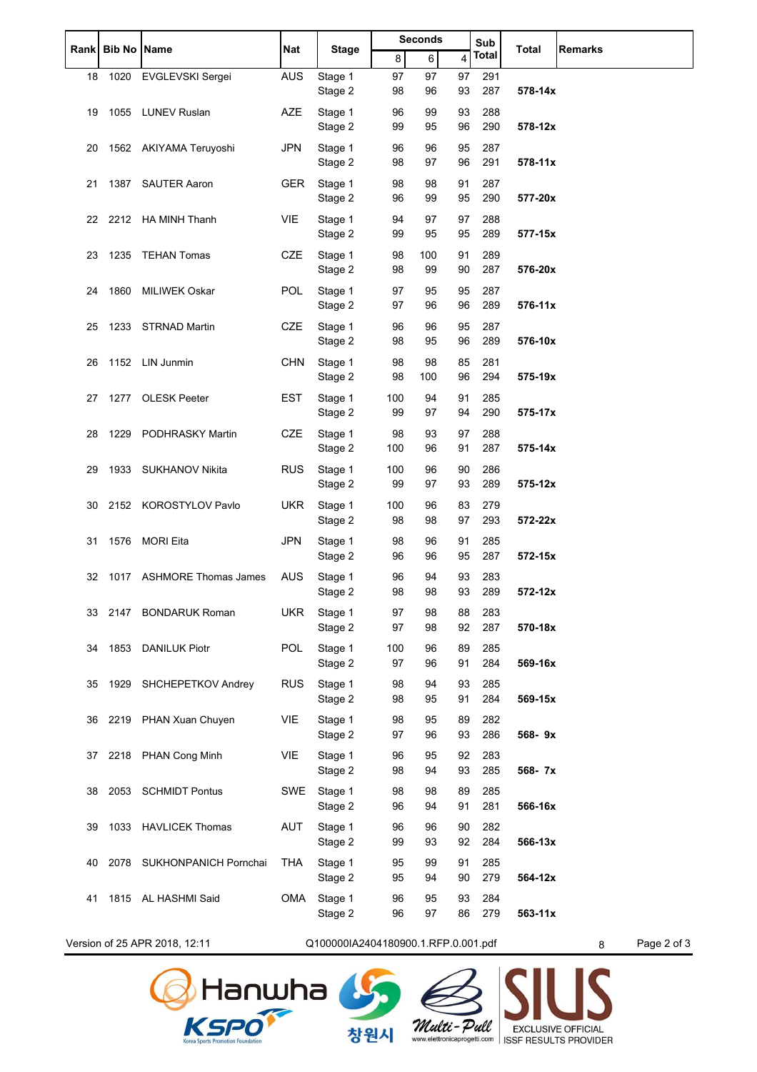| <b>Rank</b> | <b>Bib No Name</b> |                               | Nat        | <b>Stage</b>                        | <b>Seconds</b> |           |                | Sub        | Total       | <b>Remarks</b>   |
|-------------|--------------------|-------------------------------|------------|-------------------------------------|----------------|-----------|----------------|------------|-------------|------------------|
|             |                    |                               |            |                                     | 8              | 6         | $\overline{4}$ | Total      |             |                  |
| 18          |                    | 1020 EVGLEVSKI Sergei         | <b>AUS</b> | Stage 1<br>Stage 2                  | 97<br>98       | 97<br>96  | 97<br>93       | 291<br>287 | 578-14x     |                  |
| 19          |                    | 1055 LUNEV Ruslan             | <b>AZE</b> | Stage 1<br>Stage 2                  | 96<br>99       | 99<br>95  | 93<br>96       | 288<br>290 | 578-12x     |                  |
| 20          |                    | 1562 AKIYAMA Teruyoshi        | <b>JPN</b> | Stage 1<br>Stage 2                  | 96<br>98       | 96<br>97  | 95<br>96       | 287<br>291 | 578-11x     |                  |
| 21          |                    | 1387 SAUTER Aaron             | <b>GER</b> | Stage 1<br>Stage 2                  | 98<br>96       | 98<br>99  | 91<br>95       | 287<br>290 | 577-20x     |                  |
|             |                    | 22 2212 HA MINH Thanh         | <b>VIE</b> | Stage 1<br>Stage 2                  | 94<br>99       | 97<br>95  | 97<br>95       | 288<br>289 | 577-15x     |                  |
| 23          |                    | 1235 TEHAN Tomas              | <b>CZE</b> | Stage 1<br>Stage 2                  | 98<br>98       | 100<br>99 | 91<br>90       | 289<br>287 | 576-20x     |                  |
| 24          |                    | 1860 MILIWEK Oskar            | <b>POL</b> | Stage 1<br>Stage 2                  | 97<br>97       | 95<br>96  | 95<br>96       | 287<br>289 | 576-11x     |                  |
| 25          |                    | 1233 STRNAD Martin            | <b>CZE</b> | Stage 1<br>Stage 2                  | 96<br>98       | 96<br>95  | 95<br>96       | 287<br>289 | 576-10x     |                  |
| 26          |                    | 1152 LIN Junmin               | <b>CHN</b> | Stage 1<br>Stage 2                  | 98<br>98       | 98<br>100 | 85<br>96       | 281<br>294 | 575-19x     |                  |
| 27          |                    | 1277 OLESK Peeter             | <b>EST</b> | Stage 1<br>Stage 2                  | 100<br>99      | 94<br>97  | 91<br>94       | 285<br>290 | 575-17x     |                  |
| 28          |                    | 1229 PODHRASKY Martin         | <b>CZE</b> | Stage 1<br>Stage 2                  | 98<br>100      | 93<br>96  | 97<br>91       | 288<br>287 | 575-14x     |                  |
| 29          |                    | 1933 SUKHANOV Nikita          | <b>RUS</b> | Stage 1<br>Stage 2                  | 100<br>99      | 96<br>97  | 90<br>93       | 286<br>289 | 575-12x     |                  |
| 30          |                    | 2152 KOROSTYLOV Pavlo         | <b>UKR</b> | Stage 1<br>Stage 2                  | 100<br>98      | 96<br>98  | 83<br>97       | 279<br>293 | 572-22x     |                  |
| 31          |                    | 1576 MORI Eita                | <b>JPN</b> | Stage 1<br>Stage 2                  | 98<br>96       | 96<br>96  | 91<br>95       | 285<br>287 | 572-15x     |                  |
| 32          |                    | 1017 ASHMORE Thomas James     | <b>AUS</b> | Stage 1<br>Stage 2                  | 96<br>98       | 94<br>98  | 93<br>93       | 283<br>289 | 572-12x     |                  |
| 33          |                    | 2147 BONDARUK Roman           | <b>UKR</b> | Stage 1<br>Stage 2                  | 97<br>97       | 98<br>98  | 88<br>92       | 283<br>287 | 570-18x     |                  |
| 34          |                    | 1853 DANILUK Piotr            | <b>POL</b> | Stage 1<br>Stage 2                  | 100<br>97      | 96<br>96  | 89<br>91       | 285<br>284 | 569-16x     |                  |
| 35          |                    | 1929 SHCHEPETKOV Andrey       | <b>RUS</b> | Stage 1<br>Stage 2                  | 98<br>98       | 94<br>95  | 93<br>91       | 285<br>284 | 569-15x     |                  |
| 36          |                    | 2219 PHAN Xuan Chuyen         | VIE        | Stage 1<br>Stage 2                  | 98<br>97       | 95<br>96  | 89<br>93       | 282<br>286 | 568-9x      |                  |
| 37          |                    | 2218 PHAN Cong Minh           | VIE        | Stage 1<br>Stage 2                  | 96<br>98       | 95<br>94  | 92<br>93       | 283<br>285 | 568-7x      |                  |
| 38          |                    | 2053 SCHMIDT Pontus           | SWE        | Stage 1<br>Stage 2                  | 98<br>96       | 98<br>94  | 89<br>91       | 285<br>281 | 566-16x     |                  |
| 39          |                    | 1033 HAVLICEK Thomas          | AUT        | Stage 1<br>Stage 2                  | 96<br>99       | 96<br>93  | 90<br>92       | 282<br>284 | 566-13x     |                  |
| 40          |                    | 2078 SUKHONPANICH Pornchai    | THA        | Stage 1<br>Stage 2                  | 95<br>95       | 99<br>94  | 91<br>90       | 285<br>279 | 564-12x     |                  |
| 41          |                    | 1815 AL HASHMI Said           | OMA        | Stage 1<br>Stage 2                  | 96<br>96       | 95<br>97  | 93<br>86       | 284<br>279 | $563 - 11x$ |                  |
|             |                    | Version of 25 APR 2018, 12:11 |            | Q100000IA2404180900.1.RFP.0.001.pdf |                |           |                |            |             | Page 2 of 3<br>8 |